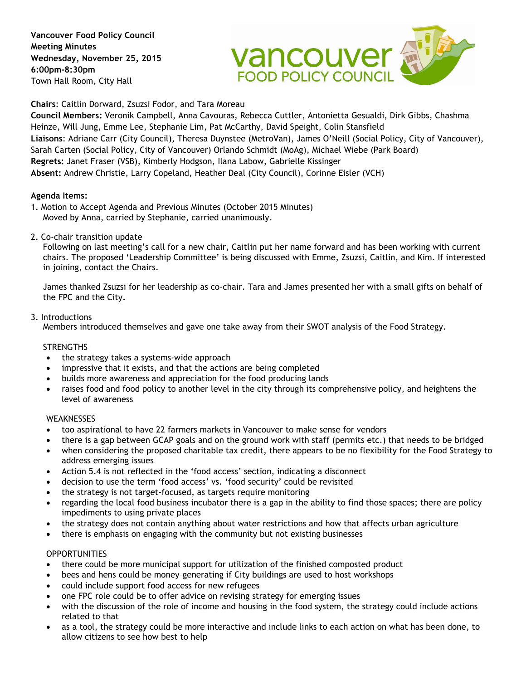**Vancouver Food Policy Council Meeting Minutes Wednesday, November 25, 2015 6:00pm-8:30pm** Town Hall Room, City Hall



**Chairs**: Caitlin Dorward, Zsuzsi Fodor, and Tara Moreau

**Council Members:** Veronik Campbell, Anna Cavouras, Rebecca Cuttler, Antonietta Gesualdi, Dirk Gibbs, Chashma Heinze, Will Jung, Emme Lee, Stephanie Lim, Pat McCarthy, David Speight, Colin Stansfield **Liaisons**: Adriane Carr (City Council), Theresa Duynstee (MetroVan), James O'Neill (Social Policy, City of Vancouver), Sarah Carten (Social Policy, City of Vancouver) Orlando Schmidt (MoAg), Michael Wiebe (Park Board) **Regrets:** Janet Fraser (VSB), Kimberly Hodgson, Ilana Labow, Gabrielle Kissinger **Absent:** Andrew Christie, Larry Copeland, Heather Deal (City Council), Corinne Eisler (VCH)

## **Agenda Items:**

- 1. Motion to Accept Agenda and Previous Minutes (October 2015 Minutes) Moved by Anna, carried by Stephanie, carried unanimously.
- 2. Co-chair transition update

Following on last meeting's call for a new chair, Caitlin put her name forward and has been working with current chairs. The proposed 'Leadership Committee' is being discussed with Emme, Zsuzsi, Caitlin, and Kim. If interested in joining, contact the Chairs.

James thanked Zsuzsi for her leadership as co-chair. Tara and James presented her with a small gifts on behalf of the FPC and the City.

# 3. Introductions

Members introduced themselves and gave one take away from their SWOT analysis of the Food Strategy.

## **STRENGTHS**

- the strategy takes a systems-wide approach
- impressive that it exists, and that the actions are being completed
- builds more awareness and appreciation for the food producing lands
- raises food and food policy to another level in the city through its comprehensive policy, and heightens the level of awareness

## **WEAKNESSES**

- too aspirational to have 22 farmers markets in Vancouver to make sense for vendors
- there is a gap between GCAP goals and on the ground work with staff (permits etc.) that needs to be bridged
- when considering the proposed charitable tax credit, there appears to be no flexibility for the Food Strategy to address emerging issues
- Action 5.4 is not reflected in the 'food access' section, indicating a disconnect
- decision to use the term 'food access' vs. 'food security' could be revisited
- the strategy is not target-focused, as targets require monitoring
- regarding the local food business incubator there is a gap in the ability to find those spaces; there are policy impediments to using private places
- the strategy does not contain anything about water restrictions and how that affects urban agriculture
- there is emphasis on engaging with the community but not existing businesses

## **OPPORTUNITIES**

- there could be more municipal support for utilization of the finished composted product
- bees and hens could be money–generating if City buildings are used to host workshops
- could include support food access for new refugees
- one FPC role could be to offer advice on revising strategy for emerging issues
- with the discussion of the role of income and housing in the food system, the strategy could include actions related to that
- as a tool, the strategy could be more interactive and include links to each action on what has been done, to allow citizens to see how best to help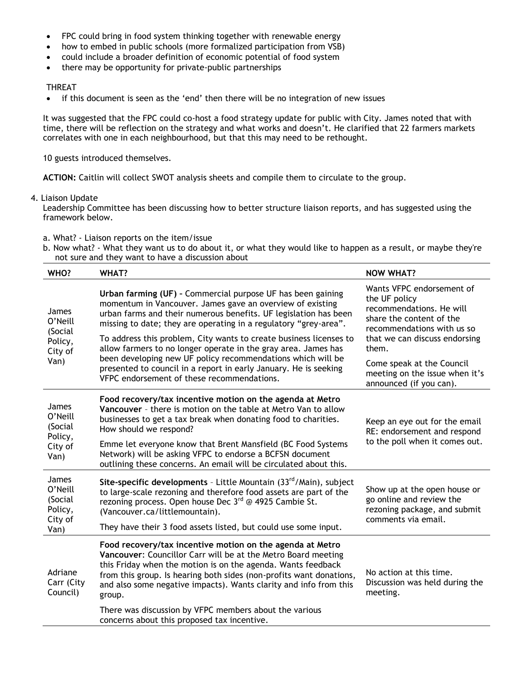- FPC could bring in food system thinking together with renewable energy
- how to embed in public schools (more formalized participation from VSB)
- could include a broader definition of economic potential of food system
- there may be opportunity for private-public partnerships

## THREAT

• if this document is seen as the 'end' then there will be no integration of new issues

It was suggested that the FPC could co-host a food strategy update for public with City. James noted that with time, there will be reflection on the strategy and what works and doesn't. He clarified that 22 farmers markets correlates with one in each neighbourhood, but that this may need to be rethought.

10 guests introduced themselves.

**ACTION:** Caitlin will collect SWOT analysis sheets and compile them to circulate to the group.

## 4. Liaison Update

Leadership Committee has been discussing how to better structure liaison reports, and has suggested using the framework below.

a. What? - Liaison reports on the item/issue

b. Now what? - What they want us to do about it, or what they would like to happen as a result, or maybe they're not sure and they want to have a discussion about

| WHO?                                                             | <b>WHAT?</b>                                                                                                                                                                                                                                                                                                                                     | <b>NOW WHAT?</b>                                                                                                                                                                                                                                                     |
|------------------------------------------------------------------|--------------------------------------------------------------------------------------------------------------------------------------------------------------------------------------------------------------------------------------------------------------------------------------------------------------------------------------------------|----------------------------------------------------------------------------------------------------------------------------------------------------------------------------------------------------------------------------------------------------------------------|
| James<br>O'Neill<br>(Social<br>Policy,<br>City of<br>Van)        | Urban farming (UF) - Commercial purpose UF has been gaining<br>momentum in Vancouver. James gave an overview of existing<br>urban farms and their numerous benefits. UF legislation has been<br>missing to date; they are operating in a regulatory "grey-area".<br>To address this problem, City wants to create business licenses to           | Wants VFPC endorsement of<br>the UF policy<br>recommendations. He will<br>share the content of the<br>recommendations with us so<br>that we can discuss endorsing<br>them.<br>Come speak at the Council<br>meeting on the issue when it's<br>announced (if you can). |
|                                                                  | allow farmers to no longer operate in the gray area. James has<br>been developing new UF policy recommendations which will be<br>presented to council in a report in early January. He is seeking<br>VFPC endorsement of these recommendations.                                                                                                  |                                                                                                                                                                                                                                                                      |
| <b>James</b><br>O'Neill<br>(Social<br>Policy,<br>City of<br>Van) | Food recovery/tax incentive motion on the agenda at Metro<br>Vancouver - there is motion on the table at Metro Van to allow<br>businesses to get a tax break when donating food to charities.<br>How should we respond?                                                                                                                          | Keep an eye out for the email<br>RE: endorsement and respond<br>to the poll when it comes out.                                                                                                                                                                       |
|                                                                  | Emme let everyone know that Brent Mansfield (BC Food Systems<br>Network) will be asking VFPC to endorse a BCFSN document<br>outlining these concerns. An email will be circulated about this.                                                                                                                                                    |                                                                                                                                                                                                                                                                      |
| <b>James</b><br>O'Neill<br>(Social<br>Policy,<br>City of         | Site-specific developments - Little Mountain (33rd/Main), subject<br>to large-scale rezoning and therefore food assets are part of the<br>rezoning process. Open house Dec 3rd @ 4925 Cambie St.<br>(Vancouver.ca/littlemountain).                                                                                                               | Show up at the open house or<br>go online and review the<br>rezoning package, and submit<br>comments via email.                                                                                                                                                      |
| Van)                                                             | They have their 3 food assets listed, but could use some input.                                                                                                                                                                                                                                                                                  |                                                                                                                                                                                                                                                                      |
| Adriane<br>Carr (City<br>Council)                                | Food recovery/tax incentive motion on the agenda at Metro<br>Vancouver: Councillor Carr will be at the Metro Board meeting<br>this Friday when the motion is on the agenda. Wants feedback<br>from this group. Is hearing both sides (non-profits want donations,<br>and also some negative impacts). Wants clarity and info from this<br>group. | No action at this time.<br>Discussion was held during the<br>meeting.                                                                                                                                                                                                |
|                                                                  | There was discussion by VFPC members about the various<br>concerns about this proposed tax incentive.                                                                                                                                                                                                                                            |                                                                                                                                                                                                                                                                      |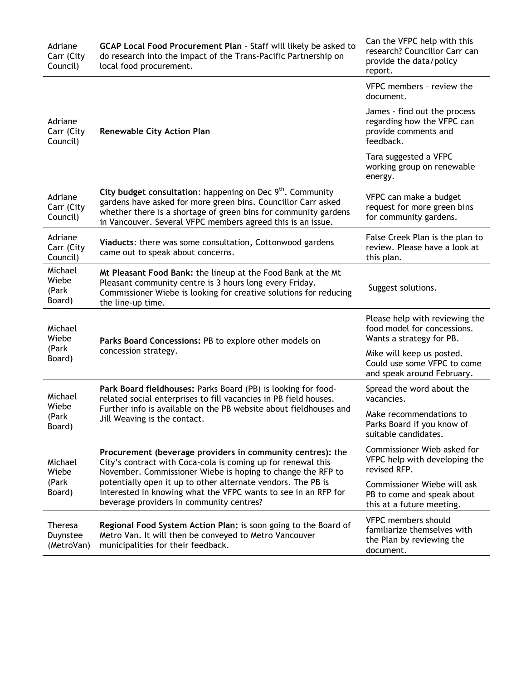| Adriane<br>Carr (City<br>Council)        | GCAP Local Food Procurement Plan - Staff will likely be asked to<br>do research into the impact of the Trans-Pacific Partnership on<br>local food procurement.                                                                                                                                                                                                          | Can the VFPC help with this<br>research? Councillor Carr can<br>provide the data/policy<br>report. |
|------------------------------------------|-------------------------------------------------------------------------------------------------------------------------------------------------------------------------------------------------------------------------------------------------------------------------------------------------------------------------------------------------------------------------|----------------------------------------------------------------------------------------------------|
| Adriane<br>Carr (City<br>Council)        | <b>Renewable City Action Plan</b>                                                                                                                                                                                                                                                                                                                                       | VFPC members - review the<br>document.                                                             |
|                                          |                                                                                                                                                                                                                                                                                                                                                                         | James - find out the process<br>regarding how the VFPC can<br>provide comments and<br>feedback.    |
|                                          |                                                                                                                                                                                                                                                                                                                                                                         | Tara suggested a VFPC<br>working group on renewable<br>energy.                                     |
| Adriane<br>Carr (City<br>Council)        | City budget consultation: happening on Dec $9th$ . Community<br>gardens have asked for more green bins. Councillor Carr asked<br>whether there is a shortage of green bins for community gardens<br>in Vancouver. Several VFPC members agreed this is an issue.                                                                                                         | VFPC can make a budget<br>request for more green bins<br>for community gardens.                    |
| Adriane<br>Carr (City<br>Council)        | Viaducts: there was some consultation, Cottonwood gardens<br>came out to speak about concerns.                                                                                                                                                                                                                                                                          | False Creek Plan is the plan to<br>review. Please have a look at<br>this plan.                     |
| Michael<br>Wiebe<br>(Park<br>Board)      | Mt Pleasant Food Bank: the lineup at the Food Bank at the Mt<br>Pleasant community centre is 3 hours long every Friday.<br>Commissioner Wiebe is looking for creative solutions for reducing<br>the line-up time.                                                                                                                                                       | Suggest solutions.                                                                                 |
| Michael<br>Wiebe<br>(Park<br>Board)      | Parks Board Concessions: PB to explore other models on<br>concession strategy.                                                                                                                                                                                                                                                                                          | Please help with reviewing the<br>food model for concessions.<br>Wants a strategy for PB.          |
|                                          |                                                                                                                                                                                                                                                                                                                                                                         | Mike will keep us posted.<br>Could use some VFPC to come<br>and speak around February.             |
| Michael<br>Wiebe<br>(Park<br>Board)      | Park Board fieldhouses: Parks Board (PB) is looking for food-<br>related social enterprises to fill vacancies in PB field houses.<br>Further info is available on the PB website about fieldhouses and<br>Jill Weaving is the contact.                                                                                                                                  | Spread the word about the<br>vacancies.                                                            |
|                                          |                                                                                                                                                                                                                                                                                                                                                                         | Make recommendations to<br>Parks Board if you know of<br>suitable candidates.                      |
| Michael<br>Wiebe<br>(Park<br>Board)      | Procurement (beverage providers in community centres): the<br>City's contract with Coca-cola is coming up for renewal this<br>November. Commissioner Wiebe is hoping to change the RFP to<br>potentially open it up to other alternate vendors. The PB is<br>interested in knowing what the VFPC wants to see in an RFP for<br>beverage providers in community centres? | Commissioner Wieb asked for<br>VFPC help with developing the<br>revised RFP.                       |
|                                          |                                                                                                                                                                                                                                                                                                                                                                         | Commissioner Wiebe will ask<br>PB to come and speak about<br>this at a future meeting.             |
| <b>Theresa</b><br>Duynstee<br>(MetroVan) | Regional Food System Action Plan: is soon going to the Board of<br>Metro Van. It will then be conveyed to Metro Vancouver<br>municipalities for their feedback.                                                                                                                                                                                                         | VFPC members should<br>familiarize themselves with<br>the Plan by reviewing the<br>document.       |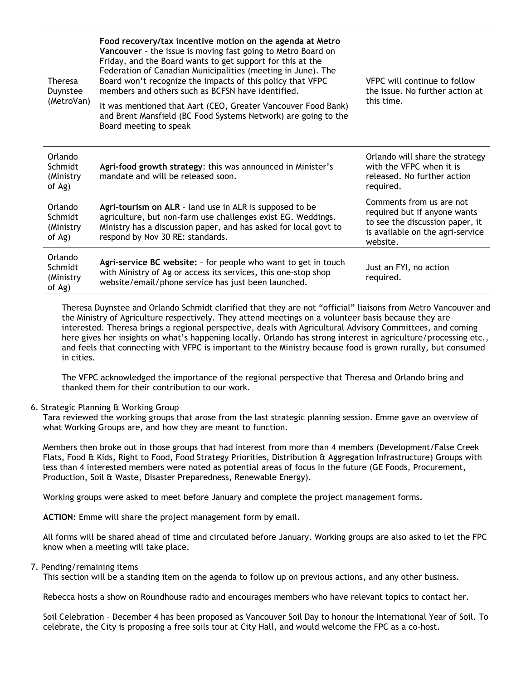| <b>Theresa</b><br>Duynstee<br>(MetroVan)  | Food recovery/tax incentive motion on the agenda at Metro<br>Vancouver - the issue is moving fast going to Metro Board on<br>Friday, and the Board wants to get support for this at the<br>Federation of Canadian Municipalities (meeting in June). The<br>Board won't recognize the impacts of this policy that VFPC<br>members and others such as BCFSN have identified.<br>It was mentioned that Aart (CEO, Greater Vancouver Food Bank)<br>and Brent Mansfield (BC Food Systems Network) are going to the<br>Board meeting to speak | <b>VFPC</b> will continue to follow<br>the issue. No further action at<br>this time.                                                        |
|-------------------------------------------|-----------------------------------------------------------------------------------------------------------------------------------------------------------------------------------------------------------------------------------------------------------------------------------------------------------------------------------------------------------------------------------------------------------------------------------------------------------------------------------------------------------------------------------------|---------------------------------------------------------------------------------------------------------------------------------------------|
| Orlando<br>Schmidt<br>(Ministry<br>of Ag) | Agri-food growth strategy: this was announced in Minister's<br>mandate and will be released soon.                                                                                                                                                                                                                                                                                                                                                                                                                                       | Orlando will share the strategy<br>with the VFPC when it is<br>released. No further action<br>required.                                     |
| Orlando<br>Schmidt<br>(Ministry<br>of Ag) | Agri-tourism on ALR - land use in ALR is supposed to be<br>agriculture, but non-farm use challenges exist EG. Weddings.<br>Ministry has a discussion paper, and has asked for local govt to<br>respond by Nov 30 RE: standards.                                                                                                                                                                                                                                                                                                         | Comments from us are not<br>required but if anyone wants<br>to see the discussion paper, it<br>is available on the agri-service<br>website. |
| Orlando<br>Schmidt<br>(Ministry<br>of Ag) | Agri-service BC website: - for people who want to get in touch<br>with Ministry of Ag or access its services, this one-stop shop<br>website/email/phone service has just been launched.                                                                                                                                                                                                                                                                                                                                                 | Just an FYI, no action<br>required.                                                                                                         |

Theresa Duynstee and Orlando Schmidt clarified that they are not "official" liaisons from Metro Vancouver and the Ministry of Agriculture respectively. They attend meetings on a volunteer basis because they are interested. Theresa brings a regional perspective, deals with Agricultural Advisory Committees, and coming here gives her insights on what's happening locally. Orlando has strong interest in agriculture/processing etc., and feels that connecting with VFPC is important to the Ministry because food is grown rurally, but consumed in cities.

The VFPC acknowledged the importance of the regional perspective that Theresa and Orlando bring and thanked them for their contribution to our work.

## 6. Strategic Planning & Working Group

Tara reviewed the working groups that arose from the last strategic planning session. Emme gave an overview of what Working Groups are, and how they are meant to function.

Members then broke out in those groups that had interest from more than 4 members (Development/False Creek Flats, Food & Kids, Right to Food, Food Strategy Priorities, Distribution & Aggregation Infrastructure) Groups with less than 4 interested members were noted as potential areas of focus in the future (GE Foods, Procurement, Production, Soil & Waste, Disaster Preparedness, Renewable Energy).

Working groups were asked to meet before January and complete the project management forms.

**ACTION:** Emme will share the project management form by email.

All forms will be shared ahead of time and circulated before January. Working groups are also asked to let the FPC know when a meeting will take place.

### 7. Pending/remaining items

This section will be a standing item on the agenda to follow up on previous actions, and any other business.

Rebecca hosts a show on Roundhouse radio and encourages members who have relevant topics to contact her.

Soil Celebration – December 4 has been proposed as Vancouver Soil Day to honour the International Year of Soil. To celebrate, the City is proposing a free soils tour at City Hall, and would welcome the FPC as a co-host.